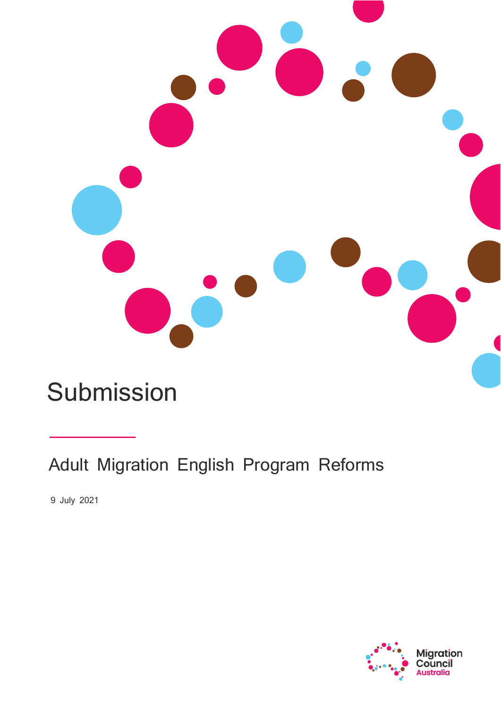

# Submission

Adult Migration English Program Reforms

9 July 2021

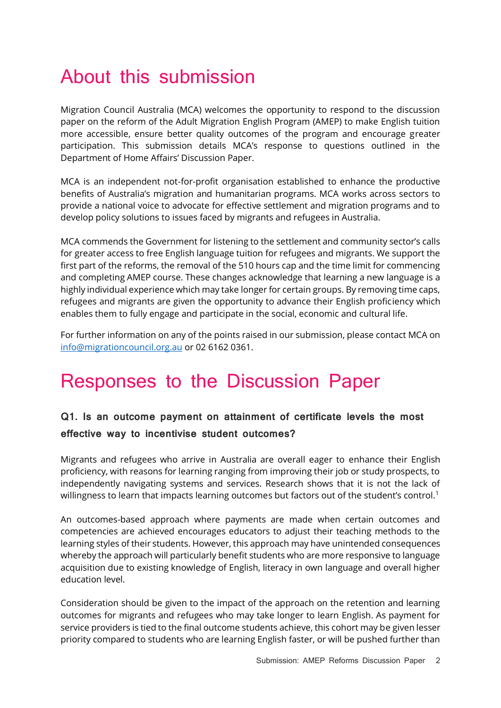## About this submission

Migration Council Australia (MCA) welcomes the opportunity to respond to the discussion paper on the reform of the Adult Migration English Program (AMEP) to make English tuition more accessible, ensure better quality outcomes of the program and encourage greater participation. This submission details MCA's response to questions outlined in the Department of Home Affairs' Discussion Paper.

MCA is an independent not-for-profit organisation established to enhance the productive benefits of Australia's migration and humanitarian programs. MCA works across sectors to provide a national voice to advocate for effective settlement and migration programs and to develop policy solutions to issues faced by migrants and refugees in Australia.

MCA commends the Government for listening to the settlement and community sector's calls for greater access to free English language tuition for refugees and migrants. We support the first part of the reforms, the removal of the 510 hours cap and the time limit for commencing and completing AMEP course. These changes acknowledge that learning a new language is a highly individual experience which may take longer for certain groups. By removing time caps, refugees and migrants are given the opportunity to advance their English proficiency which enables them to fully engage and participate in the social, economic and cultural life.

For further information on any of the points raised in our submission, please contact MCA on [info@migrationcouncil.org.au](mailto:info@migrationcouncil.org.au) or 02 6162 0361.

### Responses to the Discussion Paper

#### **Q1. Is an outcome payment on attainment of certificate levels the most effective way to incentivise student outcomes?**

Migrants and refugees who arrive in Australia are overall eager to enhance their English proficiency, with reasons for learning ranging from improving their job or study prospects, to independently navigating systems and services. Research shows that it is not the lack of willingness to learn that impacts learning outcomes but factors out of the student's control.<sup>1</sup>

An outcomes-based approach where payments are made when certain outcomes and competencies are achieved encourages educators to adjust their teaching methods to the learning styles of their students. However, this approach may have unintended consequences whereby the approach will particularly benefit students who are more responsive to language acquisition due to existing knowledge of English, literacy in own language and overall higher education level.

Consideration should be given to the impact of the approach on the retention and learning outcomes for migrants and refugees who may take longer to learn English. As payment for service providers is tied to the final outcome students achieve, this cohort may be given lesser priority compared to students who are learning English faster, or will be pushed further than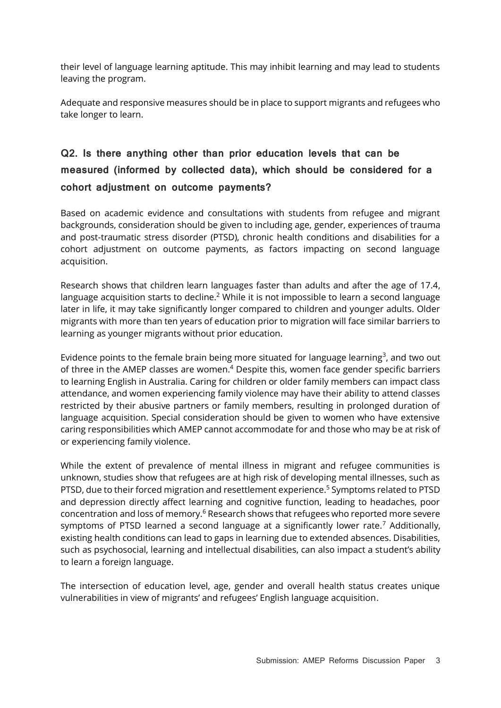their level of language learning aptitude. This may inhibit learning and may lead to students leaving the program.

Adequate and responsive measures should be in place to support migrants and refugees who take longer to learn.

#### **Q2. Is there anything other than prior education levels that can be measured (informed by collected data), which should be considered for a cohort adjustment on outcome payments?**

Based on academic evidence and consultations with students from refugee and migrant backgrounds, consideration should be given to including age, gender, experiences of trauma and post-traumatic stress disorder (PTSD), chronic health conditions and disabilities for a cohort adjustment on outcome payments, as factors impacting on second language acquisition.

Research shows that children learn languages faster than adults and after the age of 17.4, language acquisition starts to decline.<sup>2</sup> While it is not impossible to learn a second language later in life, it may take significantly longer compared to children and younger adults. Older migrants with more than ten years of education prior to migration will face similar barriers to learning as younger migrants without prior education.

Evidence points to the female brain being more situated for language learning<sup>3</sup>, and two out of three in the AMEP classes are women.<sup>4</sup> Despite this, women face gender specific barriers to learning English in Australia. Caring for children or older family members can impact class attendance, and women experiencing family violence may have their ability to attend classes restricted by their abusive partners or family members, resulting in prolonged duration of language acquisition. Special consideration should be given to women who have extensive caring responsibilities which AMEP cannot accommodate for and those who may be at risk of or experiencing family violence.

While the extent of prevalence of mental illness in migrant and refugee communities is unknown, studies show that refugees are at high risk of developing mental illnesses, such as PTSD, due to their forced migration and resettlement experience.<sup>5</sup> Symptoms related to PTSD and depression directly affect learning and cognitive function, leading to headaches, poor concentration and loss of memory.<sup>6</sup> Research shows that refugees who reported more severe symptoms of PTSD learned a second language at a significantly lower rate.<sup>7</sup> Additionally, existing health conditions can lead to gaps in learning due to extended absences. Disabilities, such as psychosocial, learning and intellectual disabilities, can also impact a student's ability to learn a foreign language.

The intersection of education level, age, gender and overall health status creates unique vulnerabilities in view of migrants' and refugees' English language acquisition.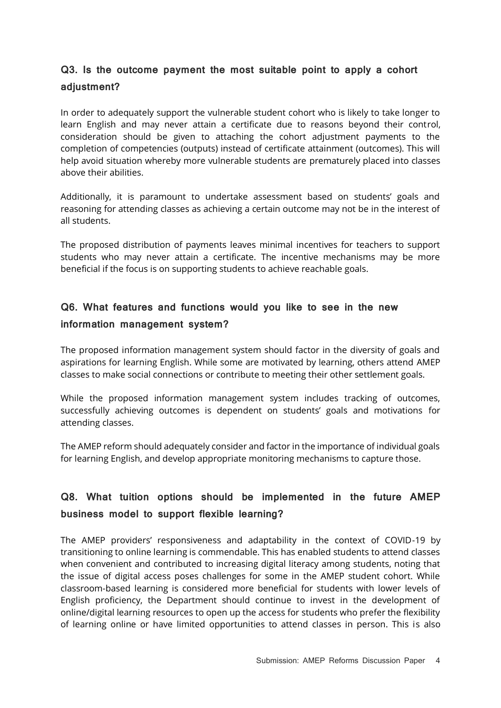#### **Q3. Is the outcome payment the most suitable point to apply a cohort adjustment?**

In order to adequately support the vulnerable student cohort who is likely to take longer to learn English and may never attain a certificate due to reasons beyond their control, consideration should be given to attaching the cohort adjustment payments to the completion of competencies (outputs) instead of certificate attainment (outcomes). This will help avoid situation whereby more vulnerable students are prematurely placed into classes above their abilities.

Additionally, it is paramount to undertake assessment based on students' goals and reasoning for attending classes as achieving a certain outcome may not be in the interest of all students.

The proposed distribution of payments leaves minimal incentives for teachers to support students who may never attain a certificate. The incentive mechanisms may be more beneficial if the focus is on supporting students to achieve reachable goals.

#### **Q6. What features and functions would you like to see in the new information management system?**

The proposed information management system should factor in the diversity of goals and aspirations for learning English. While some are motivated by learning, others attend AMEP classes to make social connections or contribute to meeting their other settlement goals.

While the proposed information management system includes tracking of outcomes, successfully achieving outcomes is dependent on students' goals and motivations for attending classes.

The AMEP reform should adequately consider and factor in the importance of individual goals for learning English, and develop appropriate monitoring mechanisms to capture those.

#### **Q8. What tuition options should be implemented in the future AMEP business model to support flexible learning?**

The AMEP providers' responsiveness and adaptability in the context of COVID-19 by transitioning to online learning is commendable. This has enabled students to attend classes when convenient and contributed to increasing digital literacy among students, noting that the issue of digital access poses challenges for some in the AMEP student cohort. While classroom-based learning is considered more beneficial for students with lower levels of English proficiency, the Department should continue to invest in the development of online/digital learning resources to open up the access for students who prefer the flexibility of learning online or have limited opportunities to attend classes in person. This is also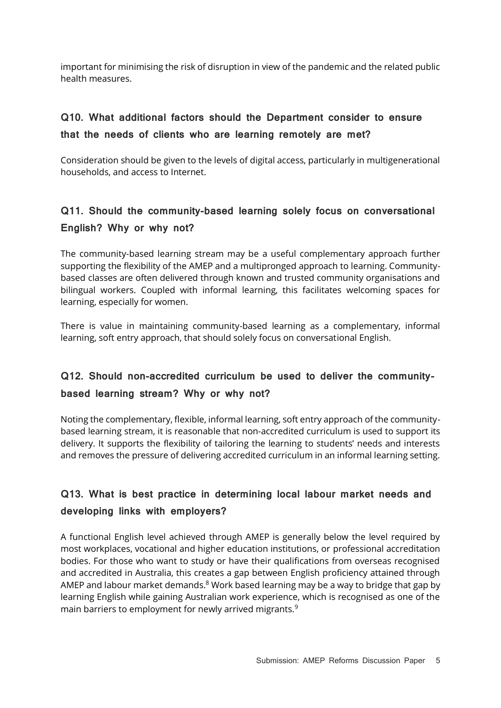important for minimising the risk of disruption in view of the pandemic and the related public health measures.

#### **Q10. What additional factors should the Department consider to ensure that the needs of clients who are learning remotely are met?**

Consideration should be given to the levels of digital access, particularly in multigenerational households, and access to Internet.

#### **Q11. Should the community-based learning solely focus on conversational English? Why or why not?**

The community-based learning stream may be a useful complementary approach further supporting the flexibility of the AMEP and a multipronged approach to learning. Communitybased classes are often delivered through known and trusted community organisations and bilingual workers. Coupled with informal learning, this facilitates welcoming spaces for learning, especially for women.

There is value in maintaining community-based learning as a complementary, informal learning, soft entry approach, that should solely focus on conversational English.

#### **Q12. Should non-accredited curriculum be used to deliver the communitybased learning stream? Why or why not?**

Noting the complementary, flexible, informal learning, soft entry approach of the communitybased learning stream, it is reasonable that non-accredited curriculum is used to support its delivery. It supports the flexibility of tailoring the learning to students' needs and interests and removes the pressure of delivering accredited curriculum in an informal learning setting.

#### **Q13. What is best practice in determining local labour market needs and developing links with employers?**

A functional English level achieved through AMEP is generally below the level required by most workplaces, vocational and higher education institutions, or professional accreditation bodies. For those who want to study or have their qualifications from overseas recognised and accredited in Australia, this creates a gap between English proficiency attained through AMEP and labour market demands.<sup>8</sup> Work based learning may be a way to bridge that gap by learning English while gaining Australian work experience, which is recognised as one of the main barriers to employment for newly arrived migrants.<sup>9</sup>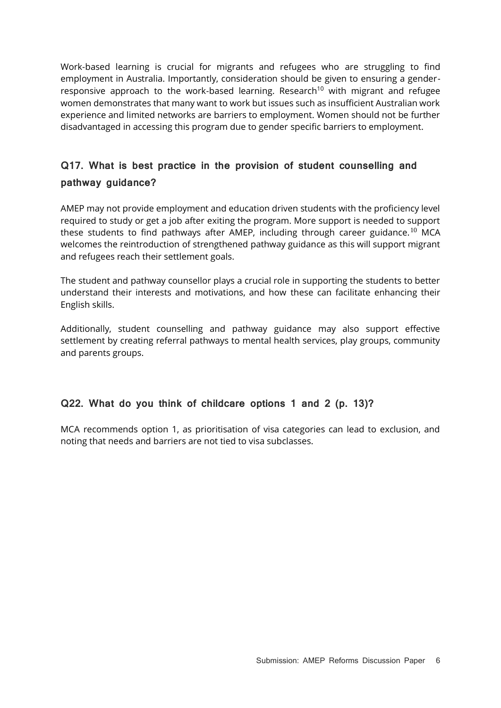<span id="page-5-0"></span>Work-based learning is crucial for migrants and refugees who are struggling to find employment in Australia. Importantly, consideration should be given to ensuring a genderresponsive approach to the work-based learning. Research<sup>10</sup> with migrant and refugee women demonstrates that many want to work but issues such as insufficient Australian work experience and limited networks are barriers to employment. Women should not be further disadvantaged in accessing this program due to gender specific barriers to employment.

#### **Q17. What is best practice in the provision of student counselling and pathway guidance?**

AMEP may not provide employment and education driven students with the proficiency level required to study or get a job after exiting the program. More support is needed to support these students to find pathways after AMEP, including through career guidance.<sup>[10](#page-5-0)</sup> MCA welcomes the reintroduction of strengthened pathway guidance as this will support migrant and refugees reach their settlement goals.

The student and pathway counsellor plays a crucial role in supporting the students to better understand their interests and motivations, and how these can facilitate enhancing their English skills.

Additionally, student counselling and pathway guidance may also support effective settlement by creating referral pathways to mental health services, play groups, community and parents groups.

#### **Q22. What do you think of childcare options 1 and 2 (p. 13)?**

MCA recommends option 1, as prioritisation of visa categories can lead to exclusion, and noting that needs and barriers are not tied to visa subclasses.